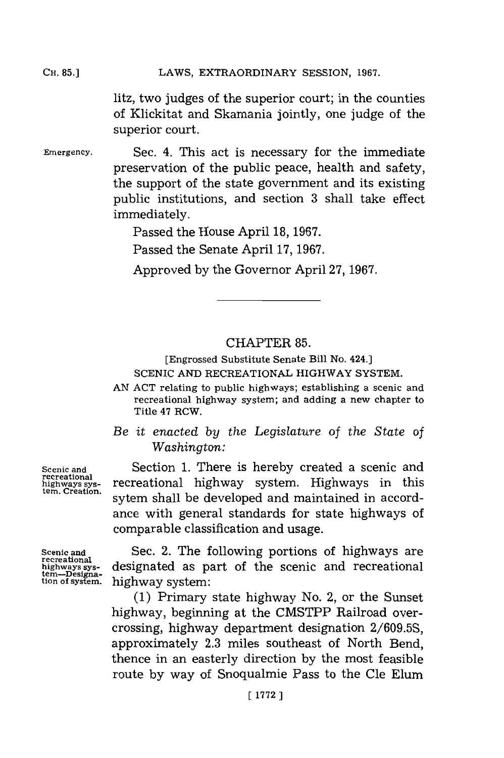LAWS, EXTRAORDINARY SESSION, 1967. **CH. 85.]**

> litz, two judges of the superior court; in the counties of Klickitat and Skamania jointly, one judge of the superior court.

**Emergency.**

Sec. 4. This act is necessary for the immediate preservation of the public peace, health and safety, the support of the state government and its existing public institutions, and section 3 shall take effect immediately.

Passed the House April **18, 1967.**

Passed the Senate April **17, 1967.**

Approved **by** the Governor April **27, 1967.**

## CHAPTER **85.**

[Engrossed Substitute Senate Bill No. 424.] **SCENIC AND** RECREATIONAL HIGHWAY SYSTEM.

**AN ACT** relating to public highways; establishing a scenic and recreational highway system; and adding a new chapter to Title 47 RCW.

*Be it enacted by the Legislature of the State of Washington:*

Section **1.** There is hereby created a scenic and recreational highway system. Highways in this sytem shall be developed and maintained in accordance with general standards for state highways of comparable classification and usage.

**Scenic and recreational highways sys-tern. Creation.**

**Scenic and recreational highways sys- tern-Designa-tion of system.**

Sec. 2. The following portions of highways are designated as part of the scenic and recreational highway system:

**(1)** Primary state highway No. 2, or the Sunset highway, beginning at the CMSTPP Railroad overcrossing, highway department designation **2/609.5S,** approximately **2.3** miles southeast of North Bend, thence in an easterly direction **by** the most feasible route **by** way of Snoqualmie Pass to the Cle Elum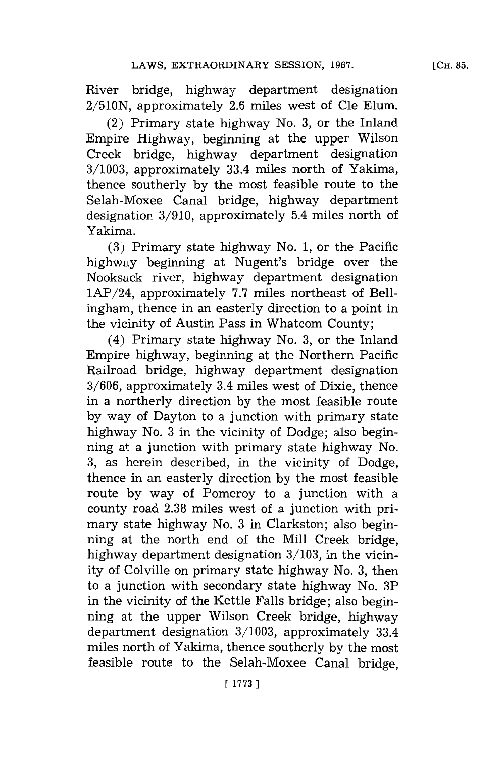River bridge, highway department designation **2/510N,** approximately **2.6** miles west of Cle Elum.

(2) Primary state highway No. **3,** or the Inland Empire Highway, beginning at the upper Wilson Creek bridge, highway department designation **3/1003,** approximately 33.4 miles north of Yakima, thence southerly **by** the most feasible route to the Selah-Moxee Canal bridge, highway department designation **3/910,** approximately 5.4 miles north of Yakima.

**(3)** Primary state highway No. **1,** or the Pacific highwaly beginning at Nugent's bridge over the Nooksuck river, highway department designation 1AP/24, approximately **7.7** miles northeast of Bellingham, thence in an easterly direction to a point in the vicinity of Austin Pass in Whatcom County;

(4) Primary state highway No. **3,** or the Inland Empire highway, beginning at the Northern Pacific Railroad bridge, highway department designation **3/606,** approximately 3.4 miles west of Dixie, thence in a northerly direction **by** the most feasible route **by** way of Dayton to a junction with primary state highway No. **3** in the vicinity of Dodge; also beginning at a junction with primary state highway No. **3,** as herein described, in the vicinity of Dodge, thence in an easterly direction **by** the most feasible route **by** way of Pomeroy to a junction with a county road **2.38** miles west of a junction with primary state highway No. **3** in Clarkston; also beginning at the north end of the Mill Creek bridge, highway department designation **3/103,** in the vicinity of Colville on primary state highway No. **3,** then to a junction with secondary state highway No. 3P in the vicinity of the Kettle Falls bridge; also beginning at the upper Wilson Creek bridge, highway department designation **3/1003,** approximately 33.4 miles north of Yakima, thence southerly **by** the most feasible route to the Selah-Moxee Canal bridge,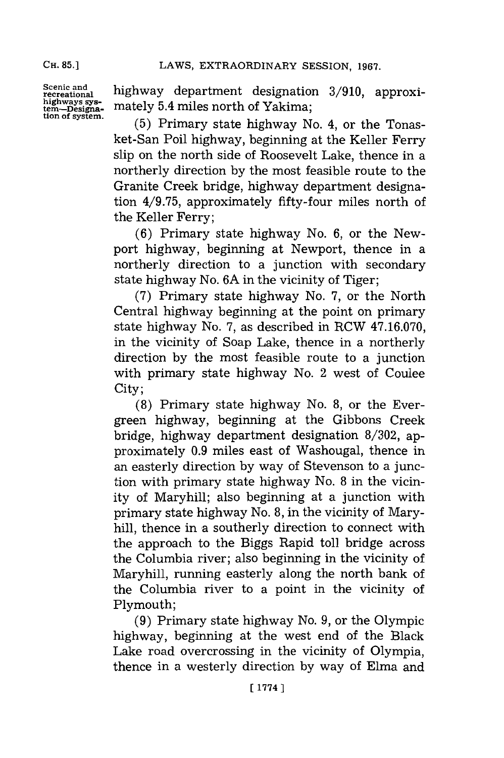**CH. 85.]**

**Scenic and recreational highways sys- tern-Designation of system.**

highway department designation 3/910, approximately 5.4 miles north of Yakima;

**(5)** Primary state highway No. 4, or the Tonasket-San Poil highway, beginning at the Keller Ferry slip on the north side of Roosevelt Lake, thence in a northerly direction **by** the most feasible route to the Granite Creek bridge, highway department designation **4/9.75,** approximately fifty-four miles north of the Keller Ferry;

**(6)** Primary state highway No. **6,** or the Newport highway, beginning at Newport, thence in a northerly direction to a junction with secondary state highway No. **6A** in the vicinity of Tiger;

**(7)** Primary state highway No. **7,** or the North Central highway beginning at the point on primary state highway No. **7,** as described in RCW **47.16.070,** in the vicinity of Soap Lake, thence in a northerly direction **by** the most feasible route to a junction with primary state highway No. 2 west of Coulee city;

**(8)** Primary state highway No. **8,** or the Evergreen highway, beginning at the Gibbons Creek bridge, highway department designation **8/302,** approximately **0.9** miles east of Washougal, thence in an easterly direction **by** way of Stevenson to a junction with primary state highway No. **8** in the vicinity of Maryhill; also beginning at a junction with primary state highway No. **8,** in the vicinity of Maryhill, thence in a southerly direction to connect with the approach to the Biggs Rapid toll bridge across the Columbia river; also beginning in the vicinity of Maryhill, running easterly along the north bank of the Columbia river to a point in the vicinity of Plymouth;

**(9)** Primary state highway No. **9,** or the Olympic highway, beginning at the west end of the Black Lake road overcrossing in the vicinity **of** Olympia, thence in a westerly direction **by** way of Elma and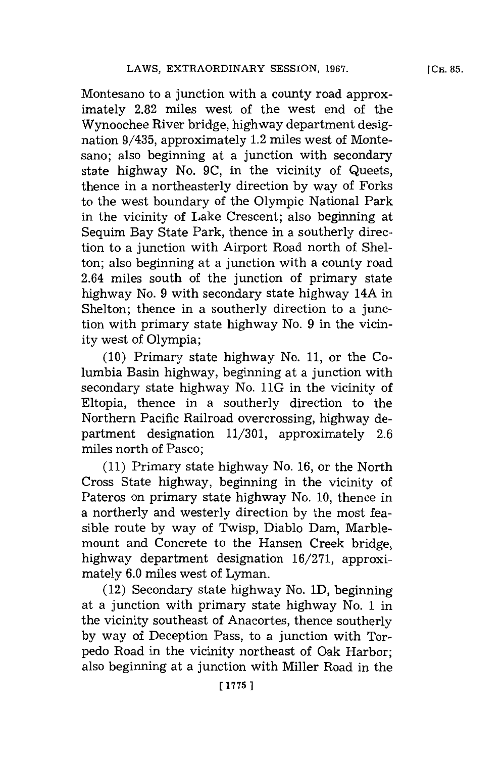Montesano to a junction with a county road approximately **2.82** miles west of the west end of the Wynoochee River bridge, highway department designation 9/435, approximately 1.2 miles west of Montesano; also beginning at a junction with secondary state highway No. **9C,** in the vicinity of Queets, thence in a northeasterly direction **by** way of Forks to the west boundary of the Olympic National Park in the vicinity of Lake Crescent; also beginning at Sequim Bay State Park, thence in a southerly direction to a junction with Airport Road north of Shelton; also beginning at a junction with a county road 2.64 miles south of the junction of primary state highway No. **9** with secondary state highway 14A in Shelton; thence in a southerly direction to a junction with primary state highway No. **9** in the vicinity west of Olympia;

**(10)** Primary state highway No. **11,** or the Columbia Basin highway, beginning at a junction with secondary state highway No. 11G in the vicinity of Eltopia, thence in a southerly direction to the Northern Pacific Railroad overcrossing, highway department designation **11/301,** approximately **2.6** miles north of Pasco;

**(11)** Primary state highway No. **16,** or the North Cross State highway, beginning in the vicinity of Pateros on primary state highway No. **10,** thence in a northerly and westerly direction **by** the most feasible route **by** way of Twisp, Diablo Dam, Marblemount and Concrete to the Hansen Creek bridge, highway department designation **16/271,** approximately **6.0** miles west of Lyman.

(12) Secondary state highway No. **1D,** beginning at a junction with primary state highway No. 1 in the vicinity southeast of Anacortes, thence southerly **by** way of Deception Pass, to a junction with Torpedo Road in the vicinity northeast of Oak Harbor; also beginning at a junction with Miller Road in the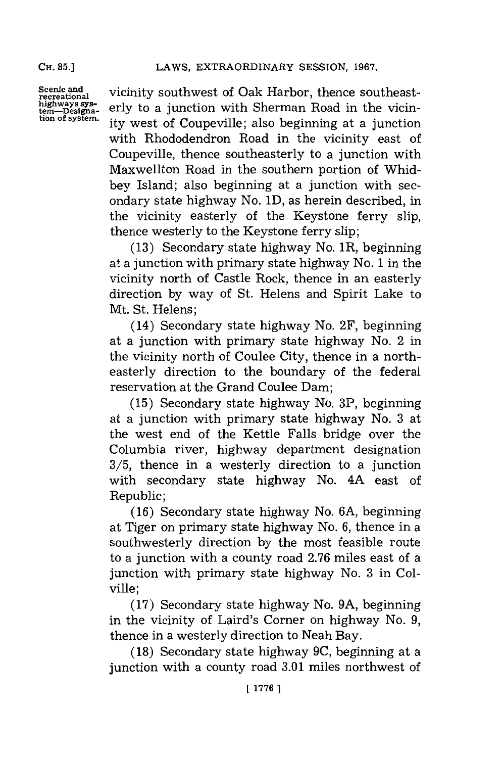**CH. 85.]**

**Scenic and recreational tern-\_Designa-tion of system.** vicinity southwest of Oak Harbor, thence southeasterly to a junction with Sherman Road in the vicinity west of Coupeville; also beginning at a junction with Rhododendron Road in the vicinity east of Coupeville, thence southeasterly to a junction with Maxwellton Road in the southern portion of Whidbey Island; also beginning at a junction with secondary state highway No. **1D,** as herein described, in the vicinity easterly of the Keystone ferry slip, thence westerly to the Keystone ferry slip;

**(13)** Secondary state highway No. 1R, beginning at a junction with primary state highway No. **1** in the vicinity north of Castle Rock, thence in an easterly direction **by** way of St. Helens and Spirit Lake to Mt. St. Helens;

(14) Secondary state highway No. 2F, beginning at a junction with primary state highway No. 2 in the vicinity north of Coulee City, thence in a northeasterly direction to the boundary of the federal reservation at the Grand Coulee Dam;

**(15)** Secondary state highway No. 3P, beginning at a junction with primary state highway No. **3** at the west end of the Kettle Falls bridge over the Columbia river, highway department designation **3/5,** thence in a westerly direction to a junction with secondary state highway No. 4A east of Republic;

**(16)** Secondary state highway No. **6A,** beginning at Tiger on primary state highway No. **6,** thence in a southwesterly direction **by** the most feasible route to a junction with a county road **2.76** miles east of a junction with primary state highway No. **3** in Colville;

**(17)** Secondary state highway No. **9A,** beginning in the vicinity of Laird's Corner on highway No. **9,** thence in a westerly direction to Neah Bay.

**(18)** Secondary state highway **9C,** beginning at a junction with a county road **3.01** miles northwest of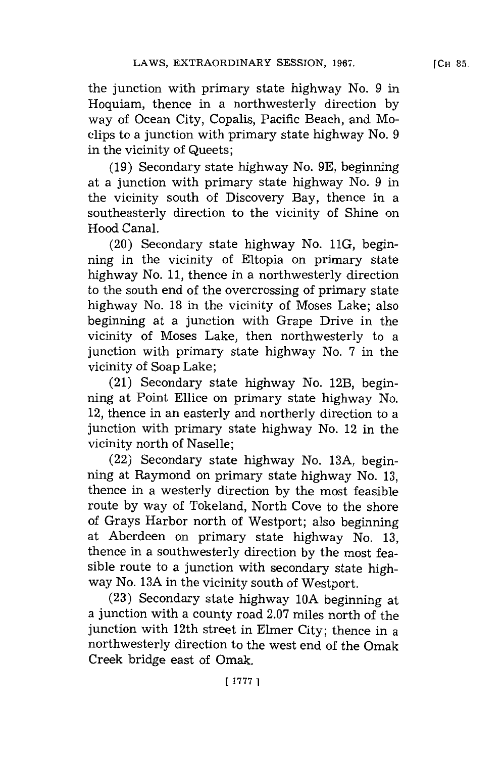the junction with primary state highway No. **9** in Hoquiam, thence in a northwesterly direction **by** way of Ocean City, Copalis, Pacific Beach, and Moclips to a junction with primary state highway No. **9** in the vicinity of Queets;

**(19)** Secondary state highway No. **9E,** beginning at a junction with primary state highway No. **9** in the vicinity south of Discovery Bay, thence in a southeasterly direction to the vicinity of Shine on Hood Canal.

(20) Secondary state highway No. **11G,** beginning in the vicinity of Eltopia on primary state highway No. **11,** thence in a northwesterly direction to the south end of the overerossing of primary state highway No. **18** in the vicinity of Moses Lake; also beginning at a junction with Grape Drive in the vicinity of Moses Lake, then northwesterly to a junction with primary state highway No. **7** in the vicinity of Soap Lake;

(21) Secondary state highway No. 12B, beginning at Point Ellice on primary state highway No. 12, thence in an easterly and northerly direction to a junction with primary state highway No. 12 in the vicinity north of Naselle;

(22) Secondary state highway No. **13A,** beginning at Raymond on primary state highway No. **13,** thence in a westerly direction **by** the most feasible route **by** way of Tokeland, North Cove to the shore of Grays Harbor north of Westport; also beginning at Aberdeen on primary state highway No. **13,** thence in a southwesterly direction **by** the most feasible route to a junction with secondary state highway No. **13A** in the vicinity south of Westport.

**(23)** Secondary state highway **10A** beginning at a junction with a county road **2.07** miles north of the junction with 12th street in Elmer City; thence in a northwesterly direction to the west end of the Omak Creek bridge east of Omak.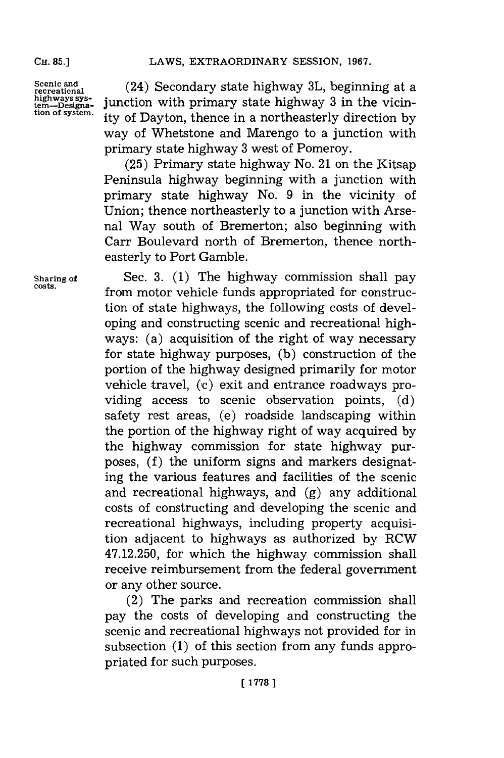**Scenic and recreational highays, sys- tern--Designs-tion of system.**

(24) Secondary state highway **3L,** beginning at a junction with primary state highway **3** in the vicinity of Dayton, thence in a northeasterly direction **by** way of Whetstone and Marengo to a junction with primary state highway **3** west of Pomeroy.

**(25)** Primary state highway No. 21 on the Kitsap Peninsula highway beginning with a junction with primary state highway No. **9** in the vicinity of Union; thence northeasterly to a junction with Arsenal Way south of Bremerton; also beginning with Carr Boulevard north of Bremerton, thence northeasterly to Port Gamble.

**Sharing of** Sec. **3. (1)** The highway commission shall pay **costs,** from motor vehicle funds appropriated for construction of state highways, the following costs of developing and constructing scenic and recreational highways: (a) acquisition of the right of way necessary for state highway purposes, **(b)** construction of the portion of the highway designed primarily for motor vehicle travel, (c) exit and entrance roadways providing access to scenic observation points, **(d)** safety rest areas, (e) roadside landscaping within the portion of the highway right of way acquired **by** the highway commission for state highway purposes, **(f)** the uniform signs and markers designating the various features and facilities of the scenic and recreational highways, and **(g)** any additional costs of constructing and developing the scenic and recreational highways, including property acquisition adjacent to highways as authorized **by** RCW 47.12.250, for which the highway commission shall receive reimbursement from the federal government or any other source.

> (2) The parks and recreation commission shall pay the costs of developing and constructing the scenic and recreational highways not provided for in subsection **(1)** of this section from any funds appropriated for such purposes.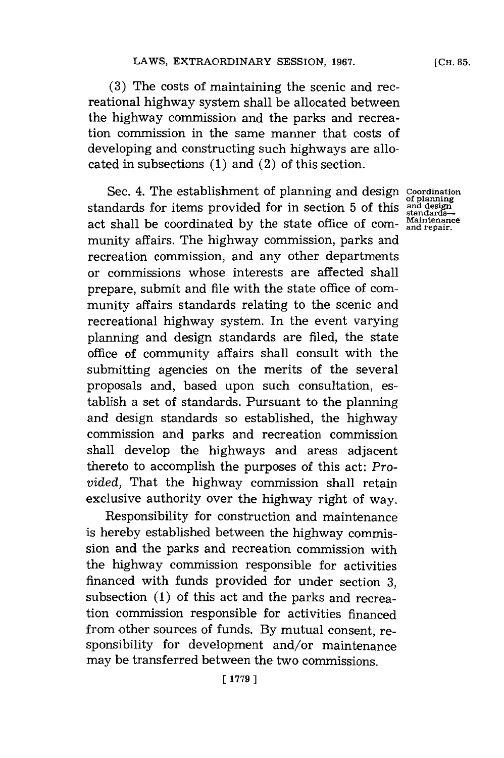**(3)** The costs of maintaining the scenic and recreational highway system shall be allocated between the highway commission and the parks and recreation commission in the same manner that costs of developing and constructing such highways are allocated in subsections **(1)** and (2) of this section.

Sec. 4. The establishment of planning and design **Coordination**<br>standards for items provided for in section 5 of this and design act shall be coordinated **by** the state office of com- **antenance** munity affairs. The highway commission, parks and recreation commission, and any other departments or commissions whose interests are affected shall prepare, submit and file with the state office of community affairs standards relating to the scenic and recreational highway system. In the event varying planning and design standards are filed, the state office of community affairs shall consult with the submitting agencies on the merits of the several proposals and, based upon such consultation, establish a set of standards. Pursuant to the planning and design standards so established, the highway commission and parks and recreation commission shall develop the highways and areas adjacent thereto to accomplish the purposes of this act: *Provided,* That the highway commission shall retain exclusive authority over the highway right of way.

Responsibility for construction and maintenance is hereby established between the highway commission and the parks and recreation commission with the highway commission responsible for activities financed with funds provided for under section **3,** subsection **(1)** of this act and the parks and recreation commission responsible for activities financed from other sources of funds. **By** mutual consent, responsibility for development and/or maintenance may be transferred between the two commissions.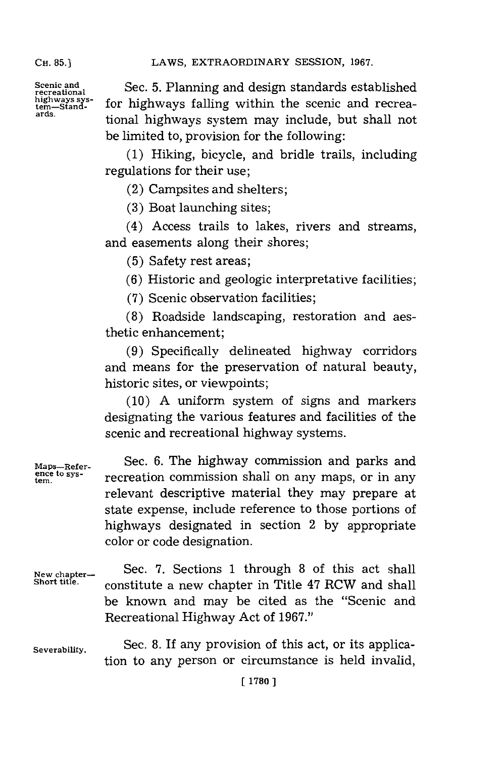Scenic and Sec. 5. Planning and design standards established<br>
recreational tem—Stand- for highways falling within the scenic and recreahighways sys- for highways falling within the scenic and recrea-<br>tern-Stand- *nds.* tional highways system may include, but shall not be limited to, provision for the following:

> **(1)** Hiking, bicycle, and bridle trails, including regulations for their use;

(2) Campsites and shelters;

**(3)** Boat launching sites;

(4) Access trails to lakes, rivers and streams, and easements along their shores;

**(5)** Safety rest areas;

**(6)** Historic and geologic interpretative facilities;

**(7)** Scenic observation facilities;

**(8)** Roadside landscaping, restoration and aesthetic enhancement;

**(9)** Specifically delineated highway corridors and means for the preservation of natural beauty, historic sites, or viewpoints;

**(10) A** uniform system of signs and markers designating the various features and facilities of the scenic and recreational highway systems.

**Maps-Refer-** Sec. **6.** The highway commission and parks and **ten. to sys-** recreation commission shall on any maps, or in any relevant descriptive material they may prepare at state expense, include reference to those portions of highways designated in section 2 **by** appropriate color or code designation.

**New chapter-** Sec. **7.** Sections **1** through **8** of this act shall constitute a new chapter in Title 47 RCW and shall be known and may be cited as the "Scenic and Recreational Highway Act of **1967."**

**Severability.** Sec. **8.** If any provision of this act, or its application to any person or circumstance is held invalid,